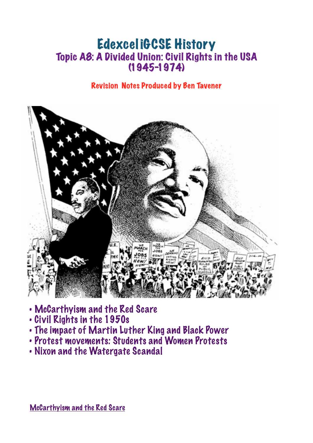# Edexcel iGCSE History Topic A8: A Divided Union: Civil Rights in the USA (1945-1974)

## Revision Notes Produced by Ben Tavener



- McCarthyism and the Red Scare
- Civil Rights in the 1950s
- The impact of Martin Luther King and Black Power
- Protest movements: Students and Women Protests
- Nixon and the Watergate Scandal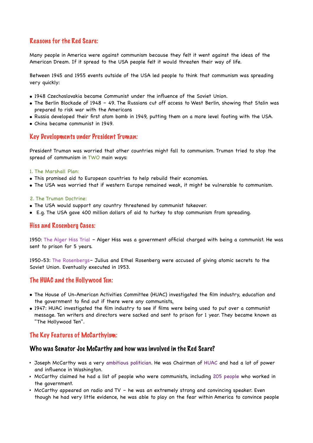## Reasons for the Red Scare:

Many people in America were against communism because they felt it went against the ideas of the American Dream. If it spread to the USA people felt it would threaten their way of life.

Between 1945 and 1955 events outside of the USA led people to think that communism was spreading very quickly:

- 1948 Czechoslovakia became Communist under the influence of the Soviet Union.
- The Berlin Blockade of 1948 49. The Russians cut off access to West Berlin, showing that Stalin was prepared to risk war with the Americans
- Russia developed their first atom bomb in 1949, putting them on a more level footing with the USA.
- China became communist in 1949.

#### Key Developments under President Truman:

President Truman was worried that other countries might fall to communism. Truman tried to stop the spread of communism in TWO main ways:

#### 1. The Marshall Plan:

- This promised aid to European countries to help rebuild their economies.
- The USA was worried that if western Europe remained weak, it might be vulnerable to communism.

#### 2. The Truman Doctrine:

- The USA would support any country threatened by communist takeover.
- E.g. The USA gave 400 million dollars of aid to turkey to stop communism from spreading.

#### Hiss and Rosenberg Cases:

1950: The Alger Hiss Trial – Alger Hiss was a government official charged with being a communist. He was sent to prison for 5 years.

1950-53: The Rosenbergs– Julius and Ethel Rosenberg were accused of giving atomic secrets to the Soviet Union. Eventually executed in 1953.

#### The HUAC and the Hollywood Ten:

- The House of Un-American Activities Committee (HUAC) investigated the film industry, education and the government to find out if there were any communists.
- 1947: HUAC investigated the film industry to see if films were being used to put over a communist message. Ten writers and directors were sacked and sent to prison for 1 year. They became known as "The Hollywood Ten".

#### The Key Features of McCarthyism:

#### Who was Senator Joe McCarthy and how was involved in the Red Scare?

- Joseph McCarthy was a very ambitious politician. He was Chairman of HUAC and had a lot of power and influence in Washington.
- McCarthy claimed he had a list of people who were communists, including 205 people who worked in the government.
- McCarthy appeared on radio and TV he was an extremely strong and convincing speaker. Even though he had very little evidence, he was able to play on the fear within America to convince people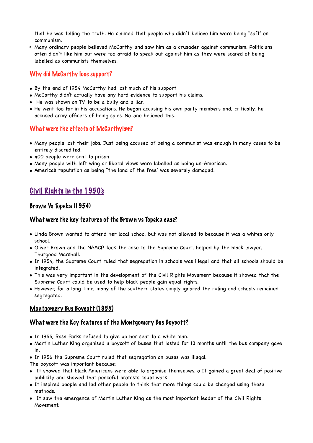that he was telling the truth. He claimed that people who didn't believe him were being "soft' on communism.

• Many ordinary people believed McCarthy and saw him as a crusader against communism. Politicians often didn't like him but were too afraid to speak out against him as they were scared of being labelled as communists themselves.

## Why did McCarthy lose support?

- By the end of 1954 McCarthy had lost much of his support
- McCarthy didn't actually have any hard evidence to support his claims.
- He was shown on TV to be a bully and a liar.
- He went too far in his accusations. He began accusing his own party members and, critically, he accused army officers of being spies. No-one believed this.

## What were the effects of McCarthyism?

- Many people lost their jobs. Just being accused of being a communist was enough in many cases to be entirely discredited.
- 400 people were sent to prison.
- Many people with left wing or liberal views were labelled as being un-American.
- America's reputation as being "the land of the free' was severely damaged.

## Civil Rights in the 1950's

## Brown Vs Topeka (1954)

#### What were the key features of the Brown vs Topeka case?

- Linda Brown wanted to attend her local school but was not allowed to because it was a whites only school.
- Oliver Brown and the NAACP took the case to the Supreme Court, helped by the black lawyer, Thurgood Marshall.
- In 1954, the Supreme Court ruled that segregation in schools was illegal and that all schools should be integrated.
- This was very important in the development of the Civil Rights Movement because it showed that the Supreme Court could be used to help black people gain equal rights.
- However, for a long time, many of the southern states simply ignored the ruling and schools remained segregated.

## Montgomery Bus Boycott (1955)

#### What were the Key features of the Montgomery Bus Boycott?

- In 1955, Rosa Parks refused to give up her seat to a white man.
- Martin Luther King organised a boycott of buses that lasted for 13 months until the bus company gave in.
- In 1956 the Supreme Court ruled that segregation on buses was illegal.

The boycott was important because;

- It showed that black Americans were able to organise themselves. o It gained a great deal of positive publicity and showed that peaceful protests could work.
- It inspired people and led other people to think that more things could be changed using these methods.
- It saw the emergence of Martin Luther King as the most important leader of the Civil Rights Movement.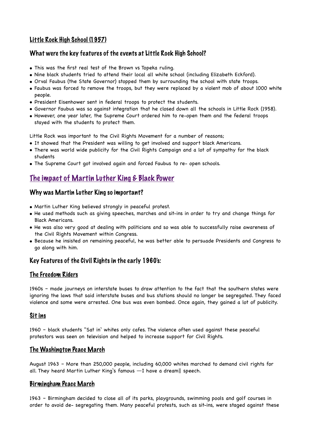## Little Rock High School (1957)

## What were the key features of the events at Little Rock High School?

- This was the first real test of the Brown vs Topeka ruling.
- Nine black students tried to attend their local all white school (including Elizabeth Eckford).
- Orval Faubus (the State Governor) stopped them by surrounding the school with state troops.
- Faubus was forced to remove the troops, but they were replaced by a violent mob of about 1000 white people.
- President Eisenhower sent in federal troops to protect the students.
- Governor Faubus was so against integration that he closed down all the schools in Little Rock (1958).
- However, one year later, the Supreme Court ordered him to re-open them and the federal troops stayed with the students to protect them.

Little Rock was important to the Civil Rights Movement for a number of reasons;

- It showed that the President was willing to get involved and support black Americans.
- There was world wide publicity for the Civil Rights Campaign and a lot of sympathy for the black students
- The Supreme Court got involved again and forced Faubus to re- open schools.

## The impact of Martin Luther King & Black Power

### Why was Martin Luther King so important?

- Martin Luther King believed strongly in peaceful protest.
- He used methods such as giving speeches, marches and sit-ins in order to try and change things for Black Americans.
- He was also very good at dealing with politicians and so was able to successfully raise awareness of the Civil Rights Movement within Congress.
- Because he insisted on remaining peaceful, he was better able to persuade Presidents and Congress to go along with him.

## Key Features of the Civil Rights in the early 1960's:

#### The Freedom Riders

1960s – made journeys on interstate buses to draw attention to the fact that the southern states were ignoring the laws that said interstate buses and bus stations should no longer be segregated. They faced violence and some were arrested. One bus was even bombed. Once again, they gained a lot of publicity.

#### Sit ins

1960 – black students "Sat in' whites only cafes. The violence often used against these peaceful protestors was seen on television and helped to increase support for Civil Rights.

## The Washington Peace March

August 1963 – More than 250,000 people, including 60,000 whites marched to demand civil rights for all. They heard Martin Luther King's famous ―I have a dream‖ speech.

#### Birmingham Peace March

1963 – Birmingham decided to close all of its parks, playgrounds, swimming pools and golf courses in order to avoid de- segregating them. Many peaceful protests, such as sit-ins, were staged against these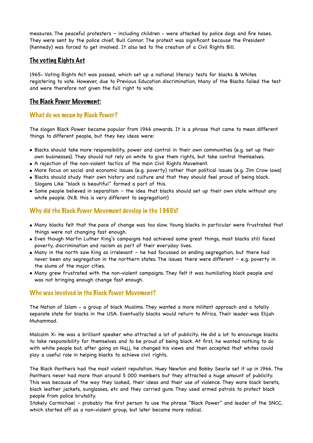measures. The peaceful protesters – including children - were attacked by police dogs and fire hoses. They were sent by the police chief, Bull Connor. The protest was significant because the President (Kennedy) was forced to get involved. It also led to the creation of a Civil Rights Bill.

### The voting Rights Act

1965- Voting Rights Act was passed, which set up a national literacy tests for blacks & Whites registering to vote. However, due to Previous Education discrimination, Many of the Blacks failed the test and were therefore not given the full right to vote.

#### The Black Power Movement:

#### What do we mean by Black Power?

The slogan Black Power became popular from 1966 onwards. It is a phrase that came to mean different things to different people, but they key ideas were:

- Blacks should take more responsibility, power and control in their own communities (e.g. set up their own businesses). They should not rely on white to give them rights, but take control themselves.
- A rejection of the non-violent tactics of the main Civil Rights Movement.
- More focus on social and economic issues (e.g. poverty) rather than political issues (e.g. Jim Crow laws)
- Blacks should study their own history and culture and that they should feel proud of being black. Slogans Like "black is beautiful" formed a part of this.
- Some people believed in separatism the idea that blacks should set up their own state without any white people. (N.B. this is very different to segregation!)

#### Why did the Black Power Movement develop in the 1960's?

- Many blacks felt that the pace of change was too slow. Young blacks in particular were frustrated that things were not changing fast enough.
- Even though Martin Luther King's campaigns had achieved some great things, most blacks still faced poverty, discrimination and racism as part of their everyday lives.
- Many in the north saw King as irrelevant he had focussed on ending segregation, but there had never been any segregation in the northern states. The issues there were different – e.g. poverty in the slums of the major cities.
- Many grew frustrated with the non-violent campaigns. They felt it was humiliating black people and was not bringing enough change fast enough.

#### Who was involved in the Black Power Movement?

The Nation of Islam - a group of black Muslims. They wanted a more militant approach and a totally separate state for blacks in the USA. Eventually blacks would return to Africa. Their leader was Elijah Muhammad.

Malcolm X- He was a brilliant speaker who attracted a lot of publicity. He did a lot to encourage blacks to take responsibility for themselves and to be proud of being black. At first, he wanted nothing to do with white people but, after going on Hajj, he changed his views and then accepted that whites could play a useful role in helping blacks to achieve civil rights.

The Black Panthers had the most violent reputation. Huey Newton and Bobby Searle set it up in 1966. The Panthers never had more than around 5 000 members but they attracted a huge amount of publicity. This was because of the way they looked, their ideas and their use of violence. They wore black berets, black leather jackets, sunglasses, etc and they carried guns. They used armed patrols to protect black people from police brutality.

Stokely Carmichael – probably the first person to use the phrase "Black Power" and leader of the SNCC, which started off as a non-violent group, but later became more radical.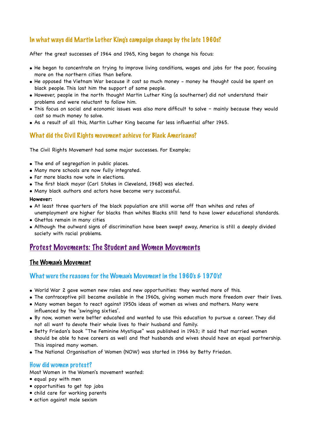## In what ways did Martin Luther King's campaign change by the late 1960s?

After the great successes of 1964 and 1965, King began to change his focus:

- He began to concentrate on trying to improve living conditions, wages and jobs for the poor, focusing more on the northern cities than before.
- He opposed the Vietnam War because it cost so much money money he thought could be spent on black people. This lost him the support of some people.
- However, people in the north thought Martin Luther King (a southerner) did not understand their problems and were reluctant to follow him.
- This focus on social and economic issues was also more difficult to solve mainly because they would cost so much money to solve.
- As a result of all this, Martin Luther King became far less influential after 1965.

## What did the Civil Rights movement achieve for Black Americans?

The Civil Rights Movement had some major successes. For Example;

- The end of segregation in public places.
- Many more schools are now fully integrated.
- Far more blacks now vote in elections.
- The first black mayor (Carl Stokes in Cleveland, 1968) was elected.
- Many black authors and actors have become very successful.

#### **However:**

- At least three quarters of the black population are still worse off than whites and rates of unemployment are higher for blacks than whites Blacks still tend to have lower educational standards.
- Ghettos remain in many cities
- Although the outward signs of discrimination have been swept away, America is still a deeply divided society with racial problems.

## Protest Movements: The Student and Women Movements

#### The Woman's Movement

### What were the reasons for the Woman's Movement in the 1960's  $\epsilon$  1970's?

- World War 2 gave women new roles and new opportunities: they wanted more of this.
- The contraceptive pill became available in the 1960s, giving women much more freedom over their lives.
- Many women began to react against 1950s ideas of women as wives and mothers. Many were influenced by the 'swinging sixties'.
- By now, women were better educated and wanted to use this education to pursue a career. They did not all want to devote their whole lives to their husband and family.
- Betty Friedan's book "The Feminine Mystique" was published in 1963; it said that married women should be able to have careers as well and that husbands and wives should have an equal partnership. This inspired many women.
- The National Organisation of Women (NOW) was started in 1966 by Betty Friedan.

#### How did women protest?

Most Women in the Women's movement wanted:

- equal pay with men
- opportunities to get top jobs
- child care for working parents
- action against male sexism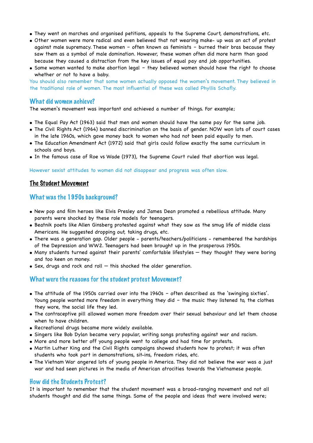- They went on marches and organised petitions, appeals to the Supreme Court, demonstrations, etc.
- Other women were more radical and even believed that not wearing make- up was an act of protest against male supremacy. These women – often known as feminists – burned their bras because they saw them as a symbol of male domination. However, these women often did more harm than good because they caused a distraction from the key issues of equal pay and job opportunities.
- Some women wanted to make abortion legal they believed women should have the right to choose whether or not to have a baby.

You should also remember that some women actually opposed the women's movement. They believed in the traditional role of women. The most influential of these was called Phyllis Schafly.

#### What did women achieve?

The women's movement was important and achieved a number of things. For example;

- The Equal Pay Act (1963) said that men and women should have the same pay for the same job.
- The Civil Rights Act (1964) banned discrimination on the basis of gender. NOW won lots of court cases in the late 1960s, which gave money back to women who had not been paid equally to men.
- The Education Amendment Act (1972) said that girls could follow exactly the same curriculum in schools and boys.
- In the famous case of Roe vs Wade (1973), the Supreme Court ruled that abortion was legal.

However sexist attitudes to women did not disappear and progress was often slow.

#### The Student Movement

#### What was the 1950s background?

- New pop and film heroes like Elvis Presley and James Dean promoted a rebellious attitude. Many parents were shocked by these role models for teenagers.
- Beatnik poets like Allen Ginsberg protested against what they saw as the smug life of middle class Americans. He suggested dropping out, taking drugs, etc.
- There was a generation gap. Older people parents/teachers/politicians remembered the hardships of the Depression and WW2. Teenagers had been brought up in the prosperous 1950s.
- Many students turned against their parents' comfortable lifestyles they thought they were boring and too keen on money.
- Sex, drugs and rock and roll this shocked the older generation.

#### What were the reasons for the student protest Movement?

- The attitude of the 1950s carried over into the 1960s often described as the 'swinging sixties'. Young people wanted more freedom in everything they did – the music they listened to, the clothes they wore, the social life they led.
- The contraceptive pill allowed women more freedom over their sexual behaviour and let them choose when to have children.
- Recreational drugs became more widely available.
- Singers like Bob Dylan became very popular, writing songs protesting against war and racism.
- More and more better off young people went to college and had time for protests.
- Martin Luther King and the Civil Rights campaigns showed students how to protest; it was often students who took part in demonstrations, sit-ins, freedom rides, etc.
- The Vietnam War angered lots of young people in America. They did not believe the war was a just war and had seen pictures in the media of American atrocities towards the Vietnamese people.

#### How did the Students Protest?

It is important to remember that the student movement was a broad-ranging movement and not all students thought and did the same things. Some of the people and ideas that were involved were;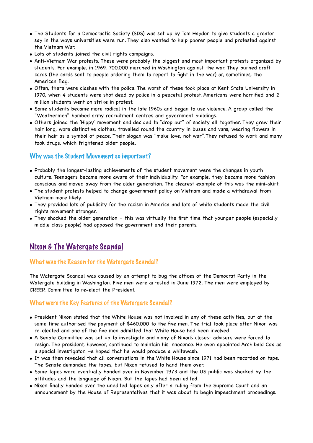- The Students for a Democractic Society (SDS) was set up by Tom Hayden to give students a greater say in the ways universities were run. They also wanted to help poorer people and protested against the Vietnam War.
- Lots of students joined the civil rights campaigns.
- Anti-Vietnam War protests. These were probably the biggest and most important protests organized by students. For example, in 1969, 700,000 marched in Washington against the war. They burned draft cards (the cards sent to people ordering them to report to fight in the war) or, sometimes, the American flag.
- Often, there were clashes with the police. The worst of these took place at Kent State University in 1970, when 4 students were shot dead by police in a peaceful protest. Americans were horrified and 2 million students went on strike in protest.
- Some students became more radical in the late 1960s and began to use violence. A group called the "Weathermen" bombed army recruitment centres and government buildings.
- Others joined the 'Hippy' movement and decided to "drop out" of society all together. They grew their hair long, wore distinctive clothes, travelled round the country in buses and vans, wearing flowers in their hair as a symbol of peace. Their slogan was "make love, not war".They refused to work and many took drugs, which frightened older people.

#### Why was the Student Movement so important?

- Probably the longest-lasting achievements of the student movement were the changes in youth culture. Teenagers became more aware of their individuality. For example, they became more fashion conscious and moved away from the older generation. The clearest example of this was the mini-skirt.
- The student protests helped to change government policy on Vietnam and made a withdrawal from Vietnam more likely.
- They provided lots of publicity for the racism in America and lots of white students made the civil rights movement stronger.
- They shocked the older generation this was virtually the first time that younger people (especially middle class people) had opposed the government and their parents.

## Nixon & The Watergate Scandal

## What was the Reason for the Watergate Scandal?

The Watergate Scandal was caused by an attempt to bug the offices of the Democrat Party in the Watergate building in Washington. Five men were arrested in June 1972. The men were employed by CREEP, Committee to re-elect the President.

#### What were the Key Features of the Watergate Scandal?

- President Nixon stated that the White House was not involved in any of these activities, but at the same time authorised the payment of \$460,000 to the five men. The trial took place after Nixon was re-elected and one of the five men admitted that White House had been involved.
- A Senate Committee was set up to investigate and many of Nixon's closest advisers were forced to resign. The president, however, continued to maintain his innocence. He even appointed Archibald Cox as a special investigator. He hoped that he would produce a whitewash.
- It was then revealed that all conversations in the White House since 1971 had been recorded on tape. The Senate demanded the tapes, but Nixon refused to hand them over.
- Some tapes were eventually handed over in November 1973 and the US public was shocked by the attitudes and the language of Nixon. But the tapes had been edited.
- Nixon finally handed over the unedited tapes only after a ruling from the Supreme Court and an announcement by the House of Representatives that it was about to begin impeachment proceedings.